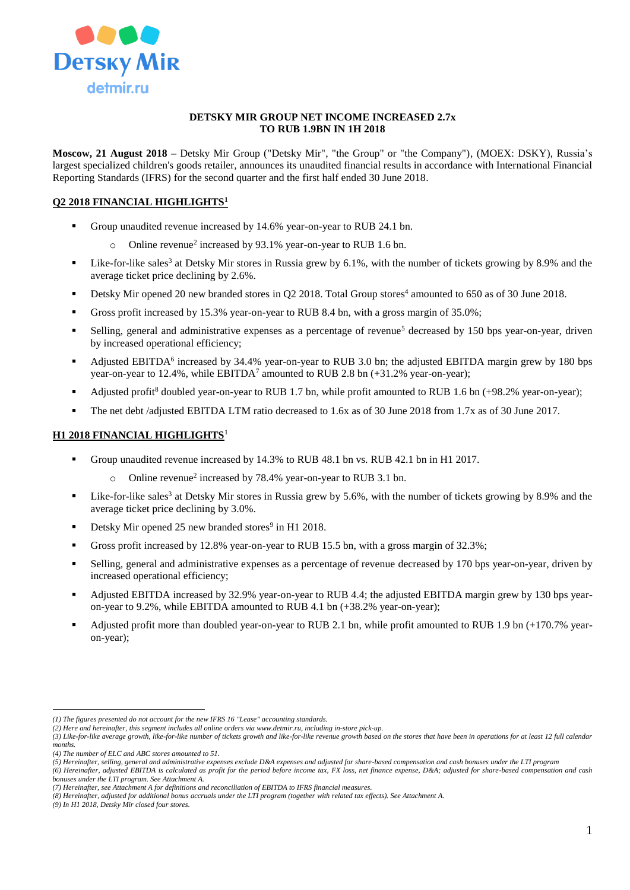

### **DETSKY MIR GROUP NET INCOME INCREASED 2.7x TO RUB 1.9BN IN 1H 2018**

**Moscow, 21 August 2018 –** Detsky Mir Group ("Detsky Mir", "the Group" or "the Company"), (MOEX: DSKY), Russia's largest specialized children's goods retailer, announces its unaudited financial results in accordance with International Financial Reporting Standards (IFRS) for the second quarter and the first half ended 30 June 2018.

# **Q2 2018 FINANCIAL HIGHLIGHTS<sup>1</sup>**

- Group unaudited revenue increased by 14.6% year-on-year to RUB 24.1 bn.
	- o Online revenue<sup>2</sup> increased by 93.1% year-on-year to RUB 1.6 bn.
- Eike-for-like sales<sup>3</sup> at Detsky Mir stores in Russia grew by 6.1%, with the number of tickets growing by 8.9% and the average ticket price declining by 2.6%.
- Detsky Mir opened 20 new branded stores in Q2 2018. Total Group stores<sup>4</sup> amounted to 650 as of 30 June 2018.
- Gross profit increased by 15.3% year-on-year to RUB 8.4 bn, with a gross margin of 35.0%;
- Selling, general and administrative expenses as a percentage of revenue<sup>5</sup> decreased by 150 bps year-on-year, driven by increased operational efficiency;
- Adjusted EBITDA<sup>6</sup> increased by 34.4% year-on-year to RUB 3.0 bn; the adjusted EBITDA margin grew by 180 bps year-on-year to 12.4%, while  $EBITDA<sup>7</sup>$  amounted to RUB 2.8 bn (+31.2% year-on-year);
- Adjusted profit<sup>8</sup> doubled year-on-year to RUB 1.7 bn, while profit amounted to RUB 1.6 bn (+98.2% vear-on-vear);
- The net debt /adjusted EBITDA LTM ratio decreased to 1.6x as of 30 June 2018 from 1.7x as of 30 June 2017.

## **H1 2018 FINANCIAL HIGHLIGHTS**<sup>1</sup>

- Group unaudited revenue increased by 14.3% to RUB 48.1 bn vs. RUB 42.1 bn in H1 2017.
	- o Online revenue<sup>2</sup> increased by 78.4% year-on-year to RUB 3.1 bn.
- Eike-for-like sales<sup>3</sup> at Detsky Mir stores in Russia grew by 5.6%, with the number of tickets growing by 8.9% and the average ticket price declining by 3.0%.
- Detsky Mir opened 25 new branded stores<sup>9</sup> in H1 2018.
- Gross profit increased by 12.8% year-on-year to RUB 15.5 bn, with a gross margin of 32.3%;
- Selling, general and administrative expenses as a percentage of revenue decreased by 170 bps year-on-year, driven by increased operational efficiency;
- Adjusted EBITDA increased by 32.9% year-on-year to RUB 4.4; the adjusted EBITDA margin grew by 130 bps yearon-year to 9.2%, while EBITDA amounted to RUB 4.1 bn (+38.2% year-on-year);
- Adjusted profit more than doubled year-on-year to RUB 2.1 bn, while profit amounted to RUB 1.9 bn (+170.7% yearon-year);

 $\overline{a}$ 

*<sup>(1)</sup> The figures presented do not account for the new IFRS 16 "Lease" accounting standards.*

*<sup>(2)</sup> Here and hereinafter, this segment includes all online orders via [www.detmir.ru,](http://www.detmir.ru/) including in-store pick-up.*

*<sup>(3)</sup> Like-for-like average growth, like-for-like number of tickets growth and like-for-like revenue growth based on the stores that have been in operations for at least 12 full calendar months.*

*<sup>(4)</sup> The number of ELC and ABC stores amounted to 51.* 

*<sup>(5)</sup> Hereinafter, selling, general and administrative expenses exclude D&A expenses and adjusted for share-based compensation and cash bonuses under the LTI program*

*<sup>(6)</sup> Hereinafter, adjusted EBITDA is calculated as profit for the period before income tax, FX loss, net finance expense, D&A; adjusted for share-based compensation and cash bonuses under the LTI program. See Attachment A.*

*<sup>(7)</sup> Hereinafter, see Attachment A for definitions and reconciliation of EBITDA to IFRS financial measures.*

*<sup>(8)</sup> Hereinafter, adjusted for additional bonus accruals under the LTI program (together with related tax effects). See Attachment A.*

*<sup>(9)</sup> In H1 2018, Detsky Mir closed four stores.*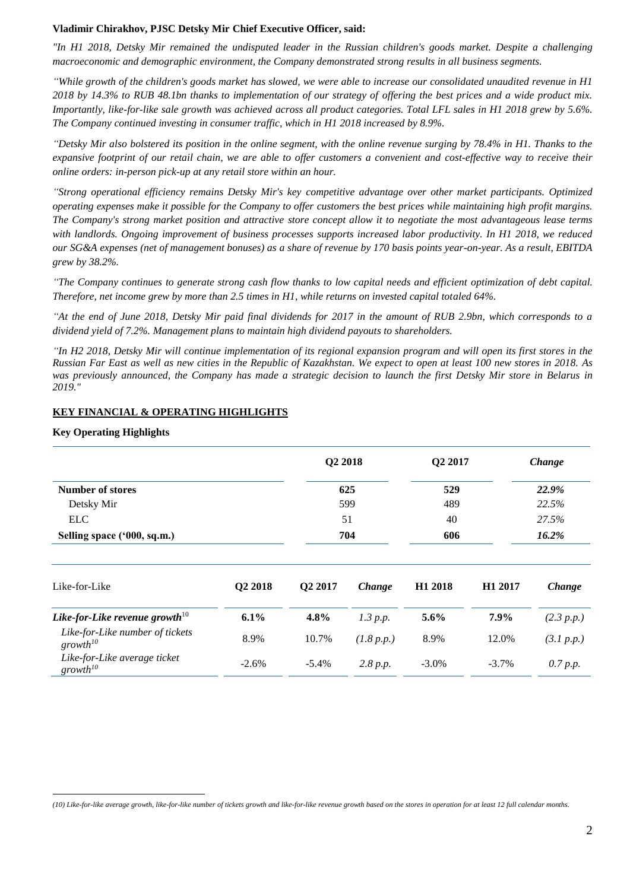### **Vladimir Chirakhov, PJSC Detsky Mir Chief Executive Officer, said:**

*"In H1 2018, Detsky Mir remained the undisputed leader in the Russian children's goods market. Despite a challenging macroeconomic and demographic environment, the Company demonstrated strong results in all business segments.* 

*"While growth of the children's goods market has slowed, we were able to increase our consolidated unaudited revenue in H1 2018 by 14.3% to RUB 48.1bn thanks to implementation of our strategy of offering the best prices and a wide product mix. Importantly, like-for-like sale growth was achieved across all product categories. Total LFL sales in H1 2018 grew by 5.6%. The Company continued investing in consumer traffic, which in H1 2018 increased by 8.9%.*

*"Detsky Mir also bolstered its position in the online segment, with the online revenue surging by 78.4% in H1. Thanks to the expansive footprint of our retail chain, we are able to offer customers a convenient and cost-effective way to receive their online orders: in-person pick-up at any retail store within an hour.* 

*"Strong operational efficiency remains Detsky Mir's key competitive advantage over other market participants. Optimized operating expenses make it possible for the Company to offer customers the best prices while maintaining high profit margins. The Company's strong market position and attractive store concept allow it to negotiate the most advantageous lease terms with landlords. Ongoing improvement of business processes supports increased labor productivity. In H1 2018, we reduced our SG&A expenses (net of management bonuses) as a share of revenue by 170 basis points year-on-year. As a result, EBITDA grew by 38.2%.* 

*"The Company continues to generate strong cash flow thanks to low capital needs and efficient optimization of debt capital. Therefore, net income grew by more than 2.5 times in H1, while returns on invested capital totaled 64%.* 

*"At the end of June 2018, Detsky Mir paid final dividends for 2017 in the amount of RUB 2.9bn, which corresponds to a dividend yield of 7.2%. Management plans to maintain high dividend payouts to shareholders.*

*"In H2 2018, Detsky Mir will continue implementation of its regional expansion program and will open its first stores in the Russian Far East as well as new cities in the Republic of Kazakhstan. We expect to open at least 100 new stores in 2018. As was previously announced, the Company has made a strategic decision to launch the first Detsky Mir store in Belarus in 2019."*

### **KEY FINANCIAL & OPERATING HIGHLIGHTS**

### **Key Operating Highlights**

 $\overline{a}$ 

|                             | Q <sub>2</sub> 2018 | Q2 2017 | Change |
|-----------------------------|---------------------|---------|--------|
| <b>Number of stores</b>     | 625                 | 529     | 22.9%  |
| Detsky Mir                  | 599                 | 489     | 22.5%  |
| ELC <sub>1</sub>            | 51                  | 40      | 27.5%  |
| Selling space ('000, sq.m.) | 704                 | 606     | 16.2%  |

| Like-for-Like                                    | Q <sub>2</sub> 2018 | O <sub>2</sub> 2017 | <i>Change</i> | H <sub>1</sub> 2018 | H <sub>1</sub> 2017 | <i>Change</i> |
|--------------------------------------------------|---------------------|---------------------|---------------|---------------------|---------------------|---------------|
| Like-for-Like revenue growth $10^{-1}$           | $6.1\%$             | $4.8\%$             | $1.3$ p.p.    | $5.6\%$             | $7.9\%$             | (2.3 p.p.)    |
| Like-for-Like number of tickets<br>$growth^{10}$ | 8.9%                | 10.7%               | (1.8 p.p.)    | 8.9%                | 12.0%               | (3.1 p.p.)    |
| Like-for-Like average ticket<br>$growth^{10}$    | $-2.6%$             | $-5.4\%$            | 2.8 p.p.      | $-3.0\%$            | $-3.7\%$            | 0.7 p.p.      |

*<sup>(10)</sup> Like-for-like average growth, like-for-like number of tickets growth and like-for-like revenue growth based on the stores in operation for at least 12 full calendar months.*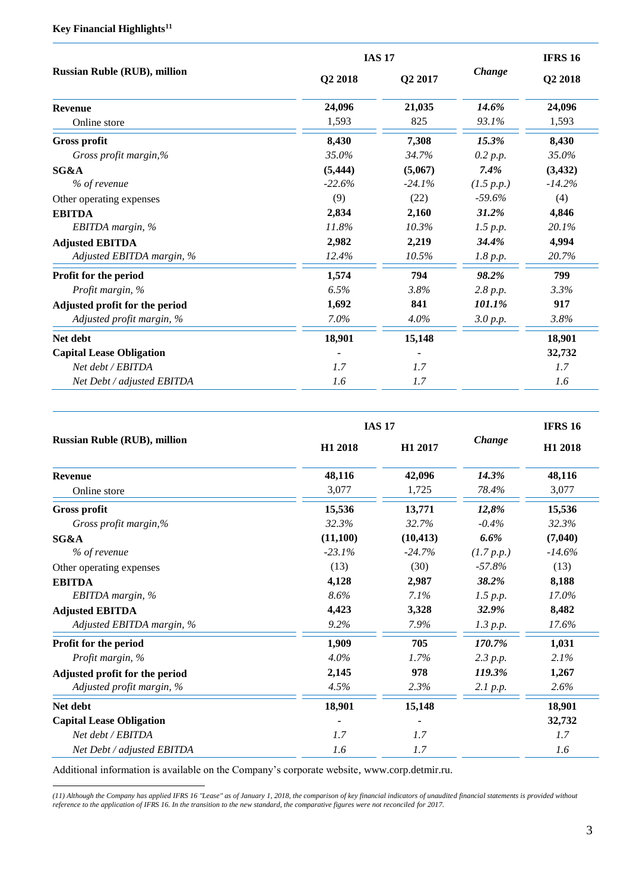# **Key Financial Highlights<sup>11</sup>**

|                                     | <b>IAS 17</b> |           | <b>IFRS 16</b> |           |  |
|-------------------------------------|---------------|-----------|----------------|-----------|--|
| <b>Russian Ruble (RUB), million</b> | Q2 2018       | Q2 2017   | Change         | Q2 2018   |  |
| <b>Revenue</b>                      | 24,096        | 21,035    | 14.6%          | 24,096    |  |
| Online store                        | 1,593         | 825       | 93.1%          | 1,593     |  |
| <b>Gross profit</b>                 | 8,430         | 7,308     | 15.3%          | 8,430     |  |
| Gross profit margin,%               | 35.0%         | 34.7%     | 0.2 p.p.       | 35.0%     |  |
| SG&A                                | (5, 444)      | (5,067)   | 7.4%           | (3, 432)  |  |
| % of revenue                        | $-22.6%$      | $-24.1\%$ | (1.5 p.p.)     | $-14.2\%$ |  |
| Other operating expenses            | (9)           | (22)      | $-59.6%$       | (4)       |  |
| <b>EBITDA</b>                       | 2,834         | 2,160     | 31.2%          | 4,846     |  |
| EBITDA margin, %                    | 11.8%         | 10.3%     | $1.5$ p.p.     | 20.1%     |  |
| <b>Adjusted EBITDA</b>              | 2,982         | 2,219     | 34.4%          | 4,994     |  |
| Adjusted EBITDA margin, %           | 12.4%         | 10.5%     | 1.8 p.p.       | 20.7%     |  |
| Profit for the period               | 1,574         | 794       | 98.2%          | 799       |  |
| Profit margin, %                    | 6.5%          | 3.8%      | 2.8 p.p.       | 3.3%      |  |
| Adjusted profit for the period      | 1,692         | 841       | 101.1%         | 917       |  |
| Adjusted profit margin, %           | 7.0%          | $4.0\%$   | 3.0 p.p.       | 3.8%      |  |
| Net debt                            | 18,901        | 15,148    |                | 18,901    |  |
| <b>Capital Lease Obligation</b>     |               |           |                | 32,732    |  |
| Net debt / EBITDA                   | 1.7           | 1.7       |                | 1.7       |  |
| Net Debt / adjusted EBITDA          | 1.6           | 1.7       |                | 1.6       |  |

|                                     | <b>IAS 17</b> |           | <b>IFRS 16</b> |           |
|-------------------------------------|---------------|-----------|----------------|-----------|
| <b>Russian Ruble (RUB), million</b> | H1 2018       | H1 2017   | Change         | H1 2018   |
| <b>Revenue</b>                      | 48,116        | 42,096    | 14.3%          | 48,116    |
| Online store                        | 3,077         | 1,725     | 78.4%          | 3,077     |
| Gross profit                        | 15,536        | 13,771    | 12,8%          | 15,536    |
| Gross profit margin,%               | 32.3%         | 32.7%     | $-0.4%$        | 32.3%     |
| SG&A                                | (11, 100)     | (10, 413) | 6.6%           | (7,040)   |
| % of revenue                        | $-23.1\%$     | $-24.7%$  | (1.7 p.p.)     | $-14.6\%$ |
| Other operating expenses            | (13)          | (30)      | $-57.8%$       | (13)      |
| <b>EBITDA</b>                       | 4,128         | 2,987     | 38.2%          | 8,188     |
| EBITDA margin, %                    | 8.6%          | 7.1%      | $1.5$ p.p.     | 17.0%     |
| <b>Adjusted EBITDA</b>              | 4,423         | 3,328     | 32.9%          | 8,482     |
| Adjusted EBITDA margin, %           | 9.2%          | 7.9%      | 1.3 p.p.       | 17.6%     |
| Profit for the period               | 1,909         | 705       | 170.7%         | 1,031     |
| Profit margin, %                    | 4.0%          | 1.7%      | 2.3 p.p.       | 2.1%      |
| Adjusted profit for the period      | 2,145         | 978       | 119.3%         | 1,267     |
| Adjusted profit margin, %           | 4.5%          | 2.3%      | 2.1 p.p.       | 2.6%      |
| Net debt                            | 18,901        | 15,148    |                | 18,901    |
| <b>Capital Lease Obligation</b>     |               |           |                | 32,732    |
| Net debt / EBITDA                   | 1.7           | 1.7       |                | 1.7       |
| Net Debt / adjusted EBITDA          | 1.6           | 1.7       |                | 1.6       |

Additional information is available on the Company's corporate website, www.corp.detmir.ru.

 $\overline{a}$ 

*<sup>(11)</sup> Although the Company has applied IFRS 16 "Lease" as of January 1, 2018, the comparison of key financial indicators of unaudited financial statements is provided without reference to the application of IFRS 16. In the transition to the new standard, the comparative figures were not reconciled for 2017.*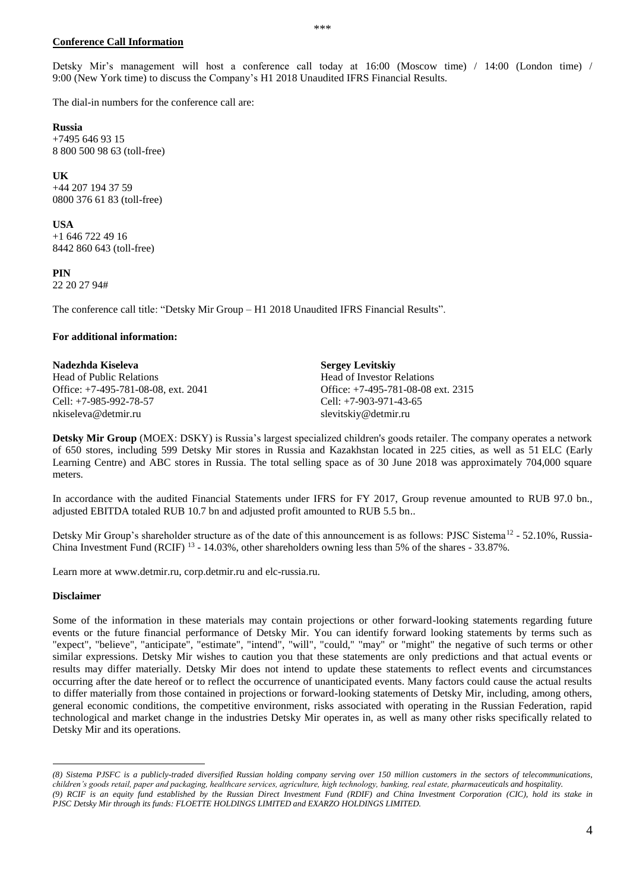### **Conference Call Information**

Detsky Mir's management will host a conference call today at 16:00 (Moscow time) / 14:00 (London time) / 9:00 (New York time) to discuss the Company's H1 2018 Unaudited IFRS Financial Results.

The dial-in numbers for the conference call are:

#### **Russia**

+7495 646 93 15 8 800 500 98 63 (toll-free)

### **UK**

+44 207 194 37 59 0800 376 61 83 (toll-free)

### **USA**

+1 646 722 49 16 8442 860 643 (toll-free)

#### **PIN**

22 20 27 94#

The conference call title: "Detsky Mir Group – H1 2018 Unaudited IFRS Financial Results".

### **For additional information:**

| Nadezhda Kiseleva                   |
|-------------------------------------|
| <b>Head of Public Relations</b>     |
| Office: +7-495-781-08-08, ext. 2041 |
| Cell: $+7-985-992-78-57$            |
| nkiseleva@detmir.ru                 |

**Sergey Levitskiy** Head of Investor Relations Office: +7-495-781-08-08 ext. 2315 Cell: +7-903-971-43-65 slevitskiy@detmir.ru

**Detsky Mir Group** (MOEX: DSKY) is Russia's largest specialized children's goods retailer. The company operates a network of 650 stores, including 599 Detsky Mir stores in Russia and Kazakhstan located in 225 cities, as well as 51 ELC (Early Learning Centre) and ABC stores in Russia. The total selling space as of 30 June 2018 was approximately 704,000 square meters.

In accordance with the audited Financial Statements under IFRS for FY 2017, Group revenue amounted to RUB 97.0 bn., adjusted EBITDA totaled RUB 10.7 bn and adjusted profit amounted to RUB 5.5 bn..

Detsky Mir Group's shareholder structure as of the date of this announcement is as follows: PJSC Sistema<sup>12</sup> - 52.10%, Russia-China Investment Fund (RCIF)<sup>13</sup> - 14.03%, other shareholders owning less than 5% of the shares - 33.87%.

Learn more at www.detmir.ru, corp.detmir.ru and elc-russia.ru.

### **Disclaimer**

 $\overline{a}$ 

Some of the information in these materials may contain projections or other forward-looking statements regarding future events or the future financial performance of Detsky Mir. You can identify forward looking statements by terms such as "expect", "believe", "anticipate", "estimate", "intend", "will", "could," "may" or "might" the negative of such terms or other similar expressions. Detsky Mir wishes to caution you that these statements are only predictions and that actual events or results may differ materially. Detsky Mir does not intend to update these statements to reflect events and circumstances occurring after the date hereof or to reflect the occurrence of unanticipated events. Many factors could cause the actual results to differ materially from those contained in projections or forward-looking statements of Detsky Mir, including, among others, general economic conditions, the competitive environment, risks associated with operating in the Russian Federation, rapid technological and market change in the industries Detsky Mir operates in, as well as many other risks specifically related to Detsky Mir and its operations.

*<sup>(8)</sup> Sistema PJSFC is a publicly-traded diversified Russian holding company serving over 150 million customers in the sectors of telecommunications, children's goods retail, paper and packaging, healthcare services, agriculture, high technology, banking, real estate, pharmaceuticals and hospitality. (9) RCIF is an equity fund established by the Russian Direct Investment Fund (RDIF) and China Investment Corporation (CIC), hold its stake in* 

*PJSC Detsky Mir through its funds: FLOETTE HOLDINGS LIMITED and EXARZO HOLDINGS LIMITED.*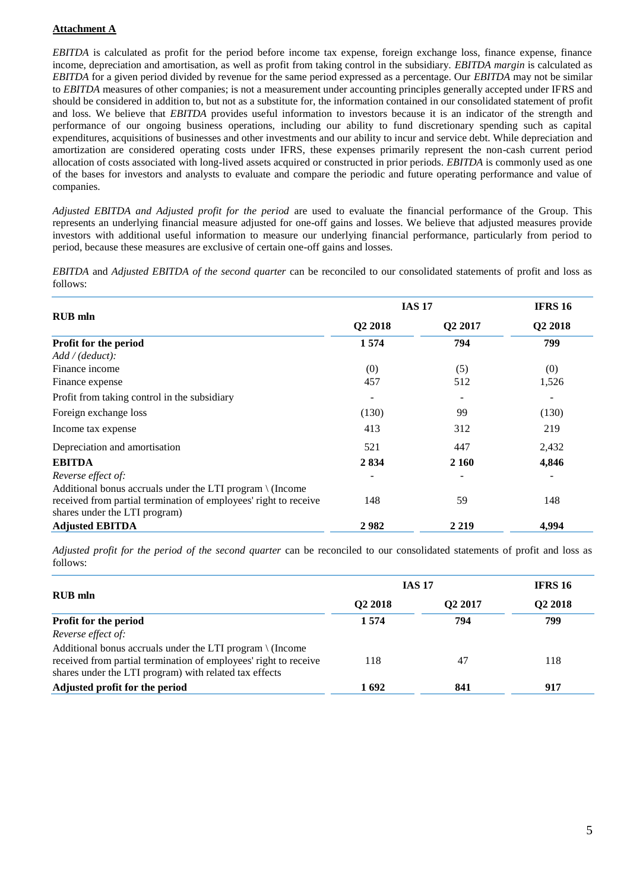# **Attachment A**

*EBITDA* is calculated as profit for the period before income tax expense, foreign exchange loss, finance expense, finance income, depreciation and amortisation, as well as profit from taking control in the subsidiary. *EBITDA margin* is calculated as *EBITDA* for a given period divided by revenue for the same period expressed as a percentage. Our *EBITDA* may not be similar to *EBITDA* measures of other companies; is not a measurement under accounting principles generally accepted under IFRS and should be considered in addition to, but not as a substitute for, the information contained in our consolidated statement of profit and loss. We believe that *EBITDA* provides useful information to investors because it is an indicator of the strength and performance of our ongoing business operations, including our ability to fund discretionary spending such as capital expenditures, acquisitions of businesses and other investments and our ability to incur and service debt. While depreciation and amortization are considered operating costs under IFRS, these expenses primarily represent the non-cash current period allocation of costs associated with long-lived assets acquired or constructed in prior periods. *EBITDA* is commonly used as one of the bases for investors and analysts to evaluate and compare the periodic and future operating performance and value of companies.

*Adjusted EBITDA and Adjusted profit for the period* are used to evaluate the financial performance of the Group. This represents an underlying financial measure adjusted for one-off gains and losses. We believe that adjusted measures provide investors with additional useful information to measure our underlying financial performance, particularly from period to period, because these measures are exclusive of certain one-off gains and losses.

*EBITDA* and *Adjusted EBITDA of the second quarter* can be reconciled to our consolidated statements of profit and loss as follows:

|                                                                     | <b>IAS 17</b> | <b>IFRS 16</b> |         |
|---------------------------------------------------------------------|---------------|----------------|---------|
| <b>RUB</b> mln                                                      | Q2 2018       | Q2 2017        | Q2 2018 |
| Profit for the period                                               | 1574          | 794            | 799     |
| Add / (deduct):                                                     |               |                |         |
| Finance income                                                      | (0)           | (5)            | (0)     |
| Finance expense                                                     | 457           | 512            | 1,526   |
| Profit from taking control in the subsidiary                        | -             | -              | -       |
| Foreign exchange loss                                               | (130)         | 99             | (130)   |
| Income tax expense                                                  | 413           | 312            | 219     |
| Depreciation and amortisation                                       | 521           | 447            | 2,432   |
| <b>EBITDA</b>                                                       | 2834          | 2 160          | 4,846   |
| Reverse effect of:                                                  |               |                |         |
| Additional bonus accruals under the LTI program $\setminus$ (Income |               |                |         |
| received from partial termination of employees' right to receive    | 148           | 59             | 148     |
| shares under the LTI program)                                       |               |                |         |
| <b>Adjusted EBITDA</b>                                              | 2982          | 2 2 1 9        | 4,994   |

*Adjusted profit for the period of the second quarter* can be reconciled to our consolidated statements of profit and loss as follows:

|                                                                                                                                                                                                   | <b>IAS 17</b> | <b>IFRS 16</b>      |                     |
|---------------------------------------------------------------------------------------------------------------------------------------------------------------------------------------------------|---------------|---------------------|---------------------|
| <b>RUB</b> mln                                                                                                                                                                                    | Q2 2018       | O <sub>2</sub> 2017 | Q <sub>2</sub> 2018 |
| Profit for the period                                                                                                                                                                             | 1 5 7 4       | 794                 | 799                 |
| Reverse effect of:                                                                                                                                                                                |               |                     |                     |
| Additional bonus accruals under the LTI program $\setminus$ (Income<br>received from partial termination of employees' right to receive<br>shares under the LTI program) with related tax effects | 118           | 47                  | 118                 |
| Adjusted profit for the period                                                                                                                                                                    | 1 692         | 841                 | 917                 |